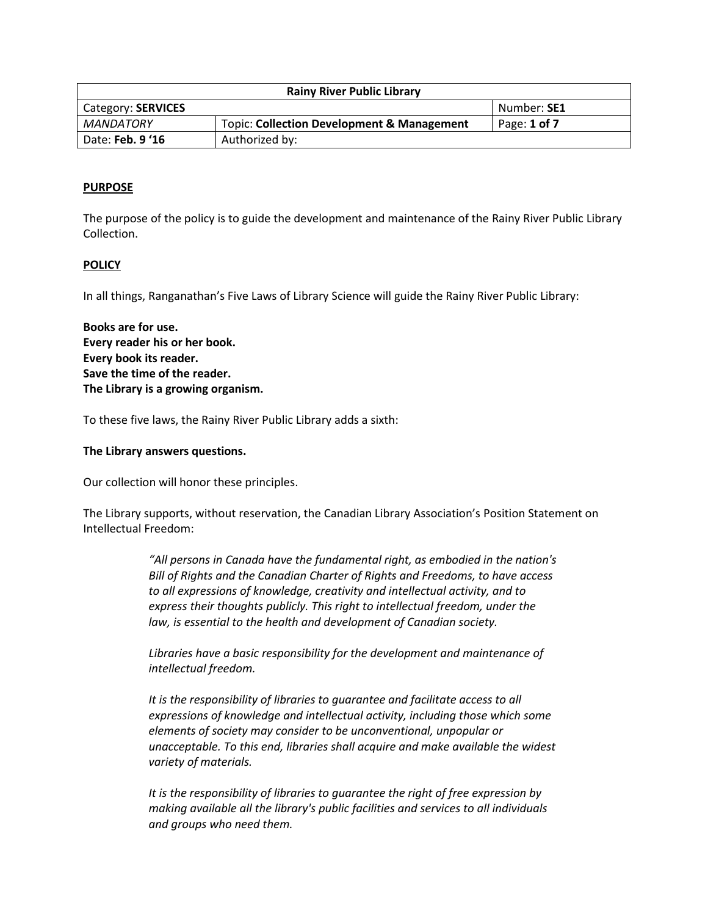| <b>Rainy River Public Library</b> |                                                       |              |
|-----------------------------------|-------------------------------------------------------|--------------|
| Category: SERVICES                |                                                       | Number: SE1  |
| <b>MANDATORY</b>                  | <b>Topic: Collection Development &amp; Management</b> | Page: 1 of 7 |
| Date: Feb. 9 '16                  | Authorized by:                                        |              |

#### **PURPOSE**

The purpose of the policy is to guide the development and maintenance of the Rainy River Public Library Collection.

#### **POLICY**

In all things, Ranganathan's Five Laws of Library Science will guide the Rainy River Public Library:

**Books are for use. Every reader his or her book. Every book its reader. Save the time of the reader. The Library is a growing organism.**

To these five laws, the Rainy River Public Library adds a sixth:

#### **The Library answers questions.**

Our collection will honor these principles.

The Library supports, without reservation, the Canadian Library Association's Position Statement on Intellectual Freedom:

> *"All persons in Canada have the fundamental right, as embodied in the nation's Bill of Rights and the Canadian Charter of Rights and Freedoms, to have access to all expressions of knowledge, creativity and intellectual activity, and to express their thoughts publicly. This right to intellectual freedom, under the law, is essential to the health and development of Canadian society.*

*Libraries have a basic responsibility for the development and maintenance of intellectual freedom.*

*It is the responsibility of libraries to guarantee and facilitate access to all expressions of knowledge and intellectual activity, including those which some elements of society may consider to be unconventional, unpopular or unacceptable. To this end, libraries shall acquire and make available the widest variety of materials.*

*It is the responsibility of libraries to guarantee the right of free expression by making available all the library's public facilities and services to all individuals and groups who need them.*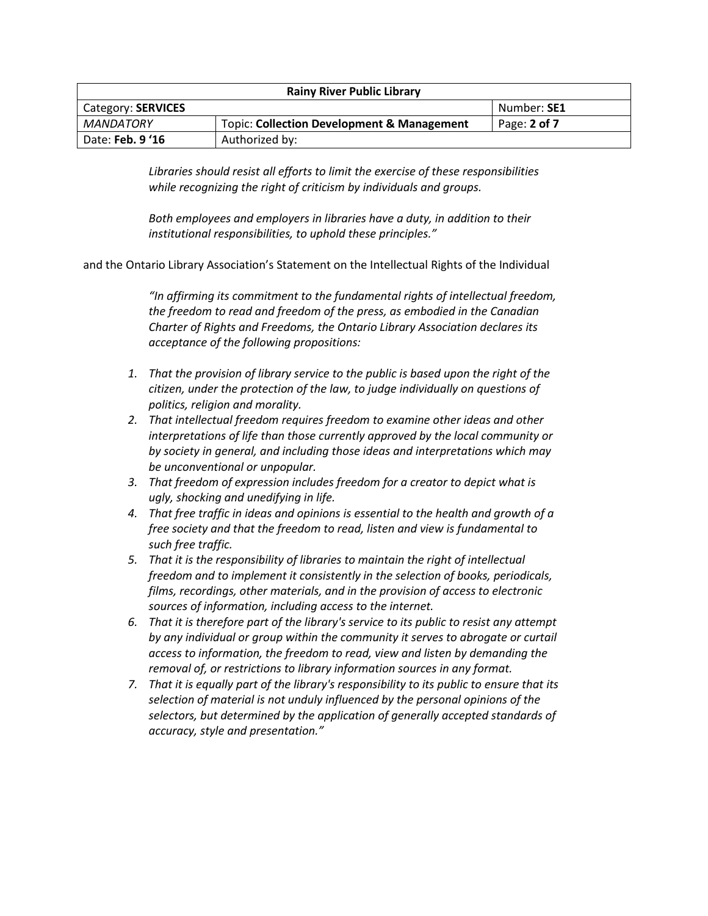| <b>Rainy River Public Library</b> |                                                       |              |
|-----------------------------------|-------------------------------------------------------|--------------|
| Category: SERVICES                |                                                       | Number: SE1  |
| MANDATORY                         | <b>Topic: Collection Development &amp; Management</b> | Page: 2 of 7 |
| Date: Feb. 9 '16                  | Authorized by:                                        |              |

*Libraries should resist all efforts to limit the exercise of these responsibilities while recognizing the right of criticism by individuals and groups.*

*Both employees and employers in libraries have a duty, in addition to their institutional responsibilities, to uphold these principles."*

and the Ontario Library Association's Statement on the Intellectual Rights of the Individual

*"In affirming its commitment to the fundamental rights of intellectual freedom, the freedom to read and freedom of the press, as embodied in the Canadian Charter of Rights and Freedoms, the Ontario Library Association declares its acceptance of the following propositions:*

- *1. That the provision of library service to the public is based upon the right of the citizen, under the protection of the law, to judge individually on questions of politics, religion and morality.*
- *2. That intellectual freedom requires freedom to examine other ideas and other interpretations of life than those currently approved by the local community or by society in general, and including those ideas and interpretations which may be unconventional or unpopular.*
- *3. That freedom of expression includes freedom for a creator to depict what is ugly, shocking and unedifying in life.*
- *4. That free traffic in ideas and opinions is essential to the health and growth of a free society and that the freedom to read, listen and view is fundamental to such free traffic.*
- *5. That it is the responsibility of libraries to maintain the right of intellectual freedom and to implement it consistently in the selection of books, periodicals, films, recordings, other materials, and in the provision of access to electronic sources of information, including access to the internet.*
- *6. That it is therefore part of the library's service to its public to resist any attempt by any individual or group within the community it serves to abrogate or curtail access to information, the freedom to read, view and listen by demanding the removal of, or restrictions to library information sources in any format.*
- *7. That it is equally part of the library's responsibility to its public to ensure that its selection of material is not unduly influenced by the personal opinions of the selectors, but determined by the application of generally accepted standards of accuracy, style and presentation."*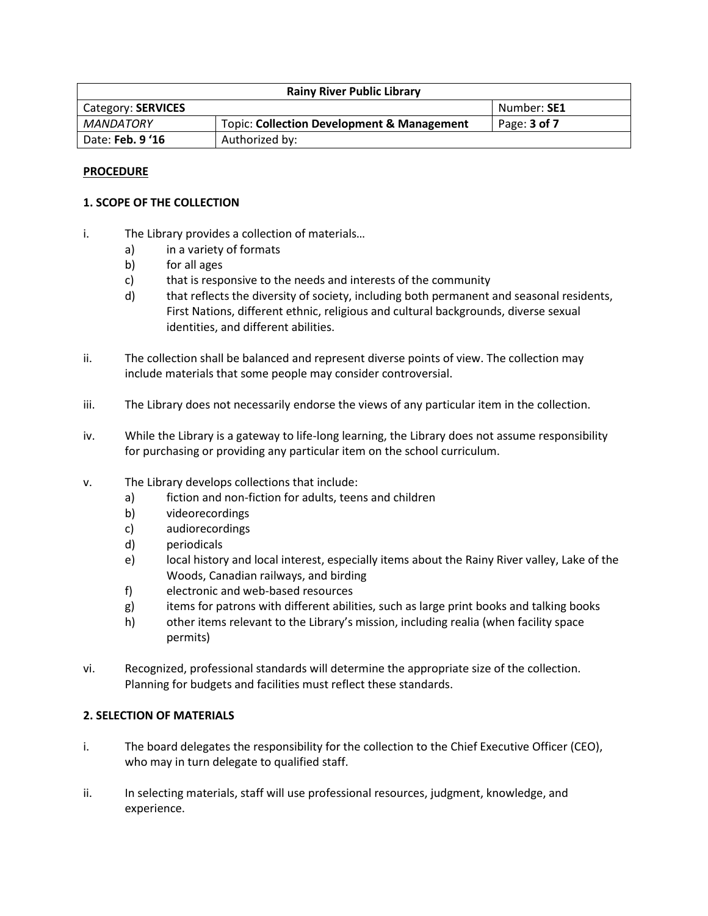| <b>Rainy River Public Library</b> |                                                       |                  |
|-----------------------------------|-------------------------------------------------------|------------------|
| Category: SERVICES                |                                                       | Number: SE1      |
| MANDATORY                         | <b>Topic: Collection Development &amp; Management</b> | Page: $3$ of $7$ |
| Date: Feb. 9 '16                  | Authorized by:                                        |                  |

### **PROCEDURE**

### **1. SCOPE OF THE COLLECTION**

- i. The Library provides a collection of materials…
	- a) in a variety of formats
	- b) for all ages
	- c) that is responsive to the needs and interests of the community
	- d) that reflects the diversity of society, including both permanent and seasonal residents, First Nations, different ethnic, religious and cultural backgrounds, diverse sexual identities, and different abilities.
- ii. The collection shall be balanced and represent diverse points of view. The collection may include materials that some people may consider controversial.
- iii. The Library does not necessarily endorse the views of any particular item in the collection.
- iv. While the Library is a gateway to life-long learning, the Library does not assume responsibility for purchasing or providing any particular item on the school curriculum.
- v. The Library develops collections that include:
	- a) fiction and non-fiction for adults, teens and children
	- b) videorecordings
	- c) audiorecordings
	- d) periodicals
	- e) local history and local interest, especially items about the Rainy River valley, Lake of the Woods, Canadian railways, and birding
	- f) electronic and web-based resources
	- g) items for patrons with different abilities, such as large print books and talking books
	- h) other items relevant to the Library's mission, including realia (when facility space permits)
- vi. Recognized, professional standards will determine the appropriate size of the collection. Planning for budgets and facilities must reflect these standards.

## **2. SELECTION OF MATERIALS**

- i. The board delegates the responsibility for the collection to the Chief Executive Officer (CEO), who may in turn delegate to qualified staff.
- ii. In selecting materials, staff will use professional resources, judgment, knowledge, and experience.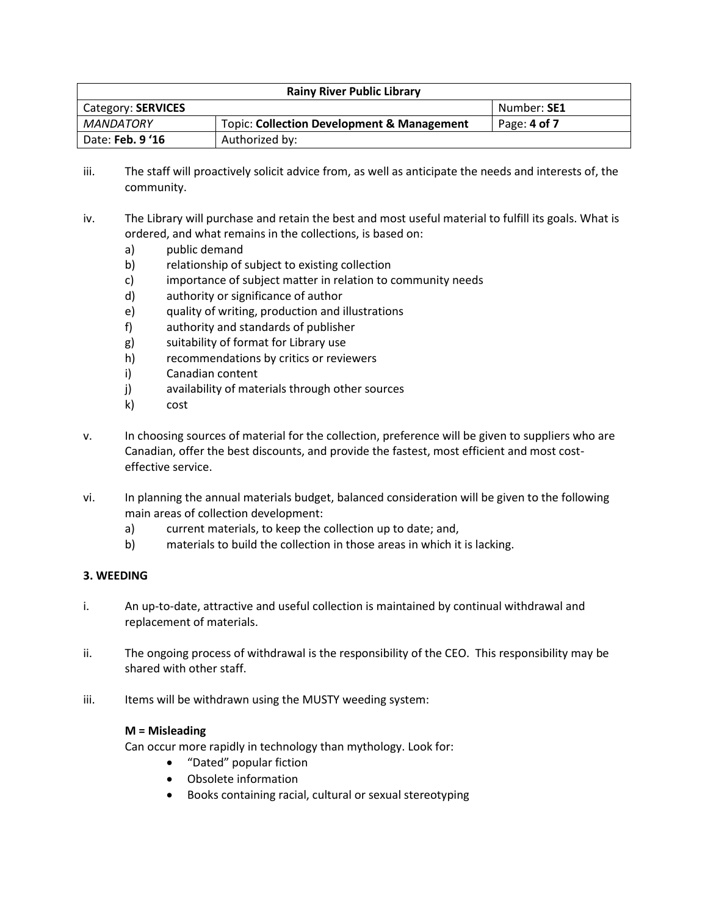| <b>Rainy River Public Library</b> |                                                       |              |
|-----------------------------------|-------------------------------------------------------|--------------|
| Category: SERVICES                |                                                       | Number: SE1  |
| MANDATORY                         | <b>Topic: Collection Development &amp; Management</b> | Page: 4 of 7 |
| Date: Feb. 9 '16                  | Authorized by:                                        |              |

- iii. The staff will proactively solicit advice from, as well as anticipate the needs and interests of, the community.
- iv. The Library will purchase and retain the best and most useful material to fulfill its goals. What is ordered, and what remains in the collections, is based on:
	- a) public demand
	- b) relationship of subject to existing collection
	- c) importance of subject matter in relation to community needs
	- d) authority or significance of author
	- e) quality of writing, production and illustrations
	- f) authority and standards of publisher
	- g) suitability of format for Library use
	- h) recommendations by critics or reviewers
	- i) Canadian content
	- j) availability of materials through other sources
	- k) cost
- v. In choosing sources of material for the collection, preference will be given to suppliers who are Canadian, offer the best discounts, and provide the fastest, most efficient and most costeffective service.
- vi. In planning the annual materials budget, balanced consideration will be given to the following main areas of collection development:
	- a) current materials, to keep the collection up to date; and,
	- b) materials to build the collection in those areas in which it is lacking.

## **3. WEEDING**

- i. An up-to-date, attractive and useful collection is maintained by continual withdrawal and replacement of materials.
- ii. The ongoing process of withdrawal is the responsibility of the CEO. This responsibility may be shared with other staff.
- iii. Items will be withdrawn using the MUSTY weeding system:

## **M = Misleading**

Can occur more rapidly in technology than mythology. Look for:

- "Dated" popular fiction
- Obsolete information
- Books containing racial, cultural or sexual stereotyping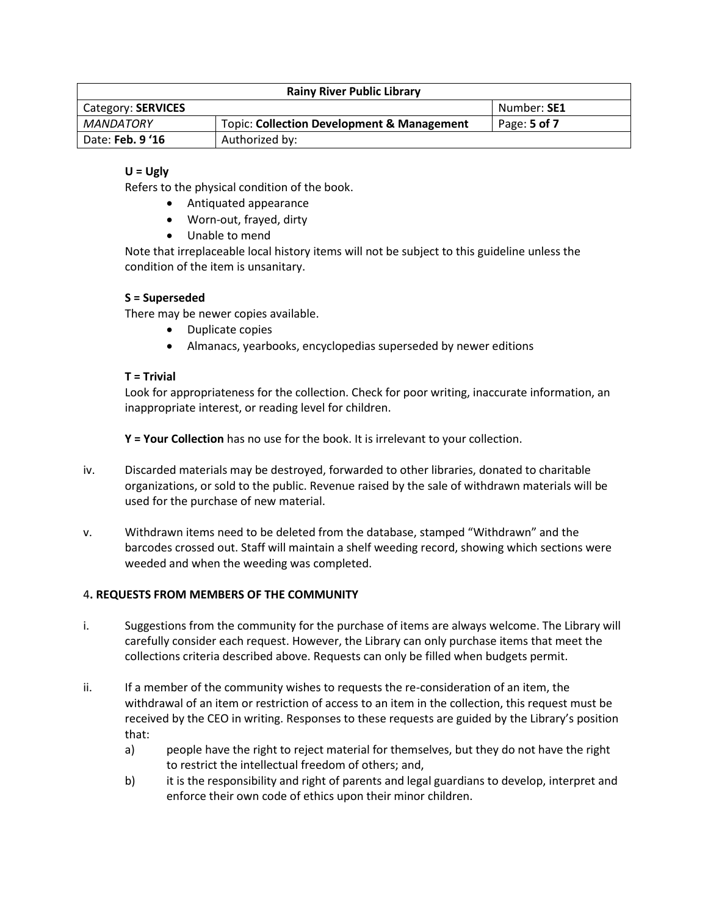| <b>Rainy River Public Library</b> |                                                       |              |
|-----------------------------------|-------------------------------------------------------|--------------|
| Category: SERVICES                |                                                       | Number: SE1  |
| MANDATORY                         | <b>Topic: Collection Development &amp; Management</b> | Page: 5 of 7 |
| Date: Feb. 9 '16                  | Authorized by:                                        |              |

# **U = Ugly**

Refers to the physical condition of the book.

- Antiquated appearance
- Worn-out, frayed, dirty
- Unable to mend

Note that irreplaceable local history items will not be subject to this guideline unless the condition of the item is unsanitary.

## **S = Superseded**

There may be newer copies available.

- Duplicate copies
- Almanacs, yearbooks, encyclopedias superseded by newer editions

## **T = Trivial**

Look for appropriateness for the collection. Check for poor writing, inaccurate information, an inappropriate interest, or reading level for children.

**Y = Your Collection** has no use for the book. It is irrelevant to your collection.

- iv. Discarded materials may be destroyed, forwarded to other libraries, donated to charitable organizations, or sold to the public. Revenue raised by the sale of withdrawn materials will be used for the purchase of new material.
- v. Withdrawn items need to be deleted from the database, stamped "Withdrawn" and the barcodes crossed out. Staff will maintain a shelf weeding record, showing which sections were weeded and when the weeding was completed.

## 4**. REQUESTS FROM MEMBERS OF THE COMMUNITY**

- i. Suggestions from the community for the purchase of items are always welcome. The Library will carefully consider each request. However, the Library can only purchase items that meet the collections criteria described above. Requests can only be filled when budgets permit.
- ii. If a member of the community wishes to requests the re-consideration of an item, the withdrawal of an item or restriction of access to an item in the collection, this request must be received by the CEO in writing. Responses to these requests are guided by the Library's position that:
	- a) people have the right to reject material for themselves, but they do not have the right to restrict the intellectual freedom of others; and,
	- b) it is the responsibility and right of parents and legal guardians to develop, interpret and enforce their own code of ethics upon their minor children.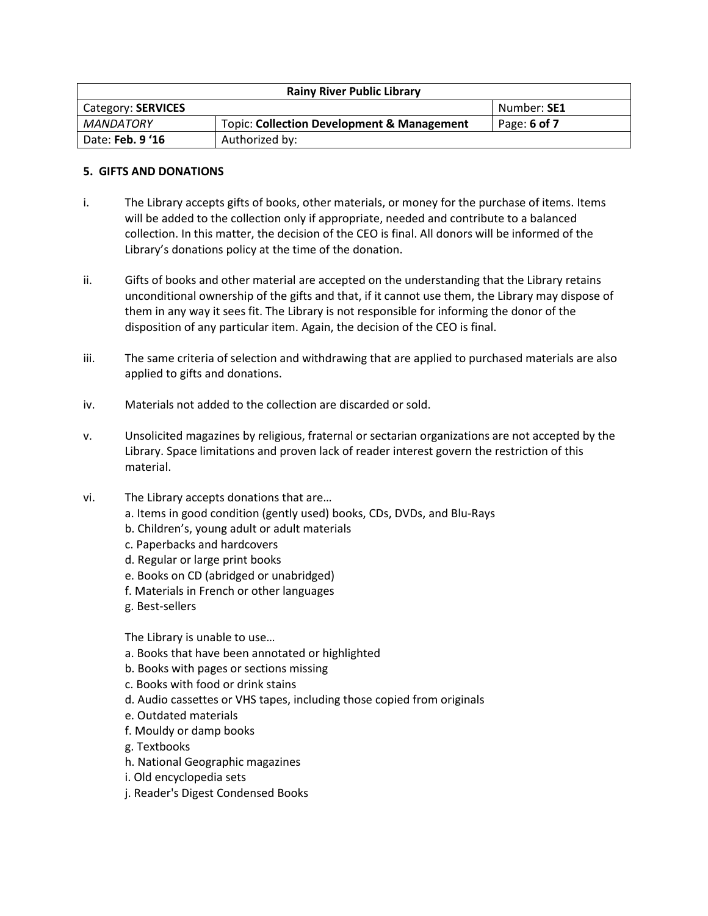| <b>Rainy River Public Library</b> |                                                       |                |
|-----------------------------------|-------------------------------------------------------|----------------|
| Category: SERVICES                |                                                       | Number: SE1    |
| MANDATORY                         | <b>Topic: Collection Development &amp; Management</b> | Page: $6$ of 7 |
| Date: Feb. 9 '16                  | Authorized by:                                        |                |

### **5. GIFTS AND DONATIONS**

- i. The Library accepts gifts of books, other materials, or money for the purchase of items. Items will be added to the collection only if appropriate, needed and contribute to a balanced collection. In this matter, the decision of the CEO is final. All donors will be informed of the Library's donations policy at the time of the donation.
- ii. Gifts of books and other material are accepted on the understanding that the Library retains unconditional ownership of the gifts and that, if it cannot use them, the Library may dispose of them in any way it sees fit. The Library is not responsible for informing the donor of the disposition of any particular item. Again, the decision of the CEO is final.
- iii. The same criteria of selection and withdrawing that are applied to purchased materials are also applied to gifts and donations.
- iv. Materials not added to the collection are discarded or sold.
- v. Unsolicited magazines by religious, fraternal or sectarian organizations are not accepted by the Library. Space limitations and proven lack of reader interest govern the restriction of this material.
- vi. The Library accepts donations that are…
	- a. Items in good condition (gently used) books, CDs, DVDs, and Blu-Rays
	- b. Children's, young adult or adult materials
	- c. Paperbacks and hardcovers
	- d. Regular or large print books
	- e. Books on CD (abridged or unabridged)
	- f. Materials in French or other languages
	- g. Best-sellers

The Library is unable to use…

- a. Books that have been annotated or highlighted
- b. Books with pages or sections missing
- c. Books with food or drink stains
- d. Audio cassettes or VHS tapes, including those copied from originals
- e. Outdated materials
- f. Mouldy or damp books
- g. Textbooks
- h. National Geographic magazines
- i. Old encyclopedia sets
- j. Reader's Digest Condensed Books